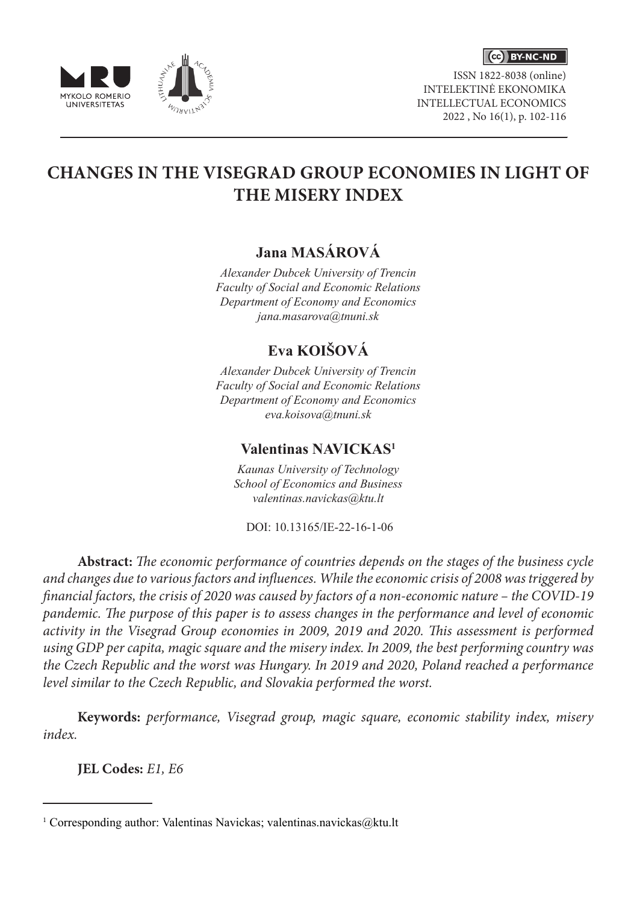

ISSN 1822-8038 (online) INTELEKTINĖ EKONOMIKA INTELLECTUAL ECONOMICS 2022 , No 16(1), p. 102-116





# **CHANGES IN THE VISEGRAD GROUP ECONOMIES IN LIGHT OF THE MISERY INDEX**

## **Jana MASÁROVÁ**

*Alexander Dubcek University of Trencin Faculty of Social and Economic Relations Department of Economy and Economics jana.masarova@tnuni.sk*

## **Eva KOIŠOVÁ**

*Alexander Dubcek University of Trencin Faculty of Social and Economic Relations Department of Economy and Economics eva.koisova@tnuni.sk*

### **Valentinas NAVICKAS1**

*Kaunas University of Technology School of Economics and Business valentinas.navickas@ktu.lt*

DOI: 10.13165/IE-22-16-1-06

**Abstract:** *The economic performance of countries depends on the stages of the business cycle and changes due to various factors and influences. While the economic crisis of 2008 was triggered by financial factors, the crisis of 2020 was caused by factors of a non-economic nature – the COVID-19 pandemic. The purpose of this paper is to assess changes in the performance and level of economic activity in the Visegrad Group economies in 2009, 2019 and 2020. This assessment is performed using GDP per capita, magic square and the misery index. In 2009, the best performing country was the Czech Republic and the worst was Hungary. In 2019 and 2020, Poland reached a performance level similar to the Czech Republic, and Slovakia performed the worst.* 

**Keywords:** *performance, Visegrad group, magic square, economic stability index, misery index.*

**JEL Codes:** *E1, E6*

<sup>&</sup>lt;sup>1</sup> Corresponding author: Valentinas Navickas; valentinas.navickas@ktu.lt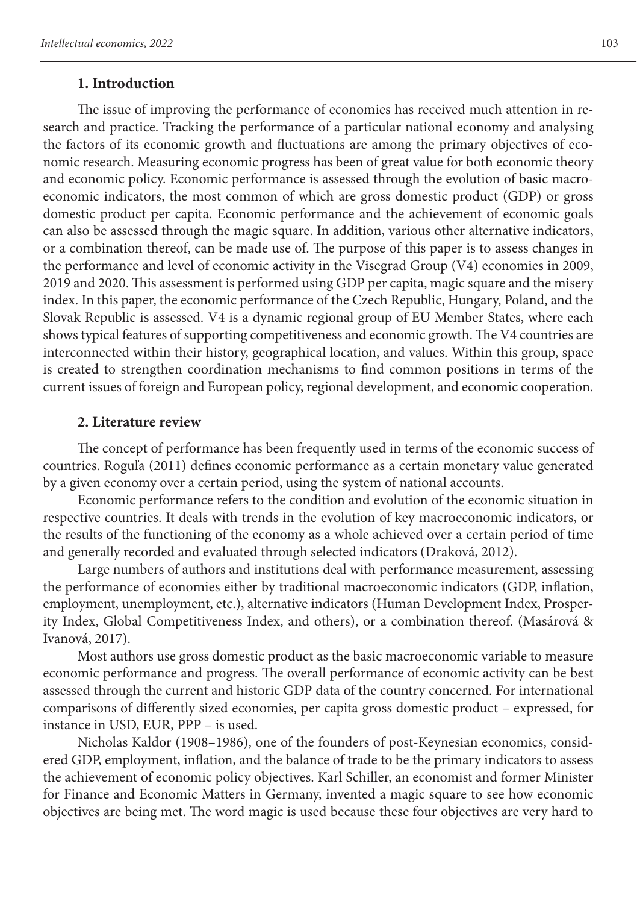#### **1. Introduction**

The issue of improving the performance of economies has received much attention in research and practice. Tracking the performance of a particular national economy and analysing the factors of its economic growth and fluctuations are among the primary objectives of economic research. Measuring economic progress has been of great value for both economic theory and economic policy. Economic performance is assessed through the evolution of basic macroeconomic indicators, the most common of which are gross domestic product (GDP) or gross domestic product per capita. Economic performance and the achievement of economic goals can also be assessed through the magic square. In addition, various other alternative indicators, or a combination thereof, can be made use of. The purpose of this paper is to assess changes in the performance and level of economic activity in the Visegrad Group (V4) economies in 2009, 2019 and 2020. This assessment is performed using GDP per capita, magic square and the misery index. In this paper, the economic performance of the Czech Republic, Hungary, Poland, and the Slovak Republic is assessed. V4 is a dynamic regional group of EU Member States, where each shows typical features of supporting competitiveness and economic growth. The V4 countries are interconnected within their history, geographical location, and values. Within this group, space is created to strengthen coordination mechanisms to find common positions in terms of the current issues of foreign and European policy, regional development, and economic cooperation.

#### **2. Literature review**

The concept of performance has been frequently used in terms of the economic success of countries. Roguľa (2011) defines economic performance as a certain monetary value generated by a given economy over a certain period, using the system of national accounts.

Economic performance refers to the condition and evolution of the economic situation in respective countries. It deals with trends in the evolution of key macroeconomic indicators, or the results of the functioning of the economy as a whole achieved over a certain period of time and generally recorded and evaluated through selected indicators (Draková, 2012).

Large numbers of authors and institutions deal with performance measurement, assessing the performance of economies either by traditional macroeconomic indicators (GDP, inflation, employment, unemployment, etc.), alternative indicators (Human Development Index, Prosperity Index, Global Competitiveness Index, and others), or a combination thereof. (Masárová & Ivanová, 2017).

Most authors use gross domestic product as the basic macroeconomic variable to measure economic performance and progress. The overall performance of economic activity can be best assessed through the current and historic GDP data of the country concerned. For international comparisons of differently sized economies, per capita gross domestic product – expressed, for instance in USD, EUR, PPP – is used.

Nicholas Kaldor (1908–1986), one of the founders of post-Keynesian economics, considered GDP, employment, inflation, and the balance of trade to be the primary indicators to assess the achievement of economic policy objectives. Karl Schiller, an economist and former Minister for Finance and Economic Matters in Germany, invented a magic square to see how economic objectives are being met. The word magic is used because these four objectives are very hard to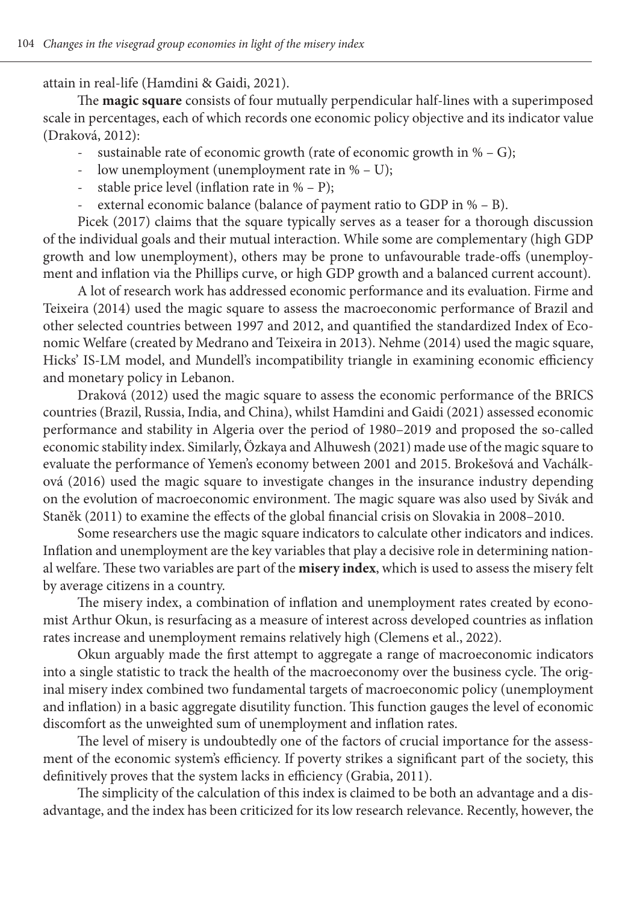attain in real-life (Hamdini & Gaidi, 2021).

The **magic square** consists of four mutually perpendicular half-lines with a superimposed scale in percentages, each of which records one economic policy objective and its indicator value (Draková, 2012):

- sustainable rate of economic growth (rate of economic growth in % G);
- low unemployment (unemployment rate in  $% U$ );
- stable price level (inflation rate in  $% P$ );
- external economic balance (balance of payment ratio to GDP in  $% B$ ).

Picek (2017) claims that the square typically serves as a teaser for a thorough discussion of the individual goals and their mutual interaction. While some are complementary (high GDP growth and low unemployment), others may be prone to unfavourable trade-offs (unemployment and inflation via the Phillips curve, or high GDP growth and a balanced current account).

A lot of research work has addressed economic performance and its evaluation. Firme and Teixeira (2014) used the magic square to assess the macroeconomic performance of Brazil and other selected countries between 1997 and 2012, and quantified the standardized Index of Economic Welfare (created by Medrano and Teixeira in 2013). Nehme (2014) used the magic square, Hicks' IS-LM model, and Mundell's incompatibility triangle in examining economic efficiency and monetary policy in Lebanon.

Draková (2012) used the magic square to assess the economic performance of the BRICS countries (Brazil, Russia, India, and China), whilst Hamdini and Gaidi (2021) assessed economic performance and stability in Algeria over the period of 1980–2019 and proposed the so-called economic stability index. Similarly, Özkaya and Alhuwesh (2021) made use of the magic square to evaluate the performance of Yemen's economy between 2001 and 2015. Brokešová and Vachálková (2016) used the magic square to investigate changes in the insurance industry depending on the evolution of macroeconomic environment. The magic square was also used by Sivák and Staněk (2011) to examine the effects of the global financial crisis on Slovakia in 2008–2010.

Some researchers use the magic square indicators to calculate other indicators and indices. Inflation and unemployment are the key variables that play a decisive role in determining national welfare. These two variables are part of the **misery index**, which is used to assess the misery felt by average citizens in a country.

The misery index, a combination of inflation and unemployment rates created by economist Arthur Okun, is resurfacing as a measure of interest across developed countries as inflation rates increase and unemployment remains relatively high (Clemens et al., 2022).

Okun arguably made the first attempt to aggregate a range of macroeconomic indicators into a single statistic to track the health of the macroeconomy over the business cycle. The original misery index combined two fundamental targets of macroeconomic policy (unemployment and inflation) in a basic aggregate disutility function. This function gauges the level of economic discomfort as the unweighted sum of unemployment and inflation rates.

The level of misery is undoubtedly one of the factors of crucial importance for the assessment of the economic system's efficiency. If poverty strikes a significant part of the society, this definitively proves that the system lacks in efficiency (Grabia, 2011).

The simplicity of the calculation of this index is claimed to be both an advantage and a disadvantage, and the index has been criticized for its low research relevance. Recently, however, the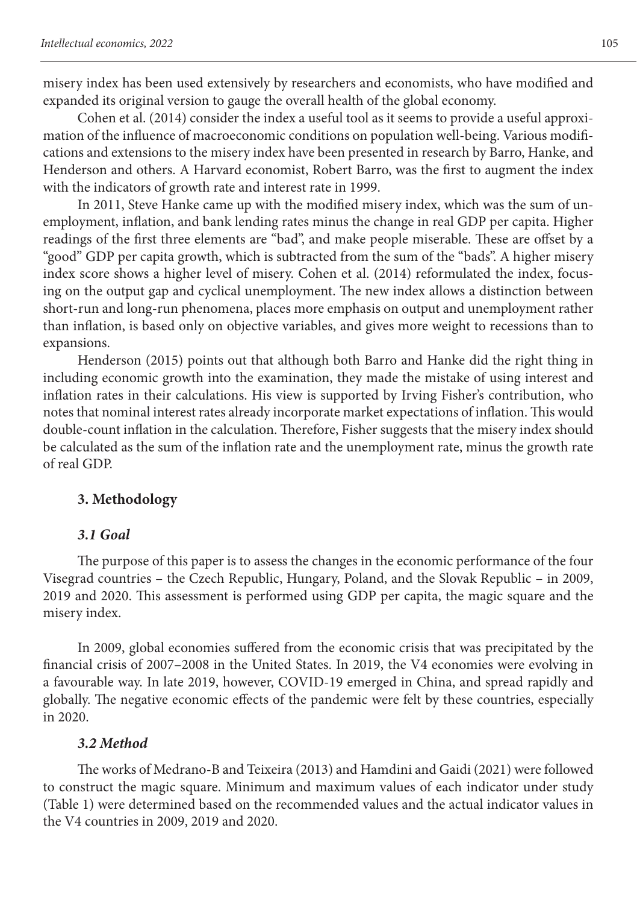misery index has been used extensively by researchers and economists, who have modified and expanded its original version to gauge the overall health of the global economy.

Cohen et al. (2014) consider the index a useful tool as it seems to provide a useful approximation of the influence of macroeconomic conditions on population well-being. Various modifications and extensions to the misery index have been presented in research by Barro, Hanke, and Henderson and others. A Harvard economist, Robert Barro, was the first to augment the index with the indicators of growth rate and interest rate in 1999.

In 2011, Steve Hanke came up with the modified misery index, which was the sum of unemployment, inflation, and bank lending rates minus the change in real GDP per capita. Higher readings of the first three elements are "bad", and make people miserable. These are offset by a "good" GDP per capita growth, which is subtracted from the sum of the "bads". A higher misery index score shows a higher level of misery. Cohen et al. (2014) reformulated the index, focusing on the output gap and cyclical unemployment. The new index allows a distinction between short-run and long-run phenomena, places more emphasis on output and unemployment rather than inflation, is based only on objective variables, and gives more weight to recessions than to expansions.

Henderson (2015) points out that although both Barro and Hanke did the right thing in including economic growth into the examination, they made the mistake of using interest and inflation rates in their calculations. His view is supported by Irving Fisher's contribution, who notes that nominal interest rates already incorporate market expectations of inflation. This would double-count inflation in the calculation. Therefore, Fisher suggests that the misery index should be calculated as the sum of the inflation rate and the unemployment rate, minus the growth rate of real GDP.

### **3. Methodology**

### *3.1 Goal*

The purpose of this paper is to assess the changes in the economic performance of the four Visegrad countries – the Czech Republic, Hungary, Poland, and the Slovak Republic – in 2009, 2019 and 2020. This assessment is performed using GDP per capita, the magic square and the misery index.

In 2009, global economies suffered from the economic crisis that was precipitated by the financial crisis of 2007–2008 in the United States. In 2019, the V4 economies were evolving in a favourable way. In late 2019, however, COVID-19 emerged in China, and spread rapidly and globally. The negative economic effects of the pandemic were felt by these countries, especially in 2020.

#### *3.2 Method*

The works of Medrano-B and Teixeira (2013) and Hamdini and Gaidi (2021) were followed to construct the magic square. Minimum and maximum values of each indicator under study (Table 1) were determined based on the recommended values and the actual indicator values in the V4 countries in 2009, 2019 and 2020.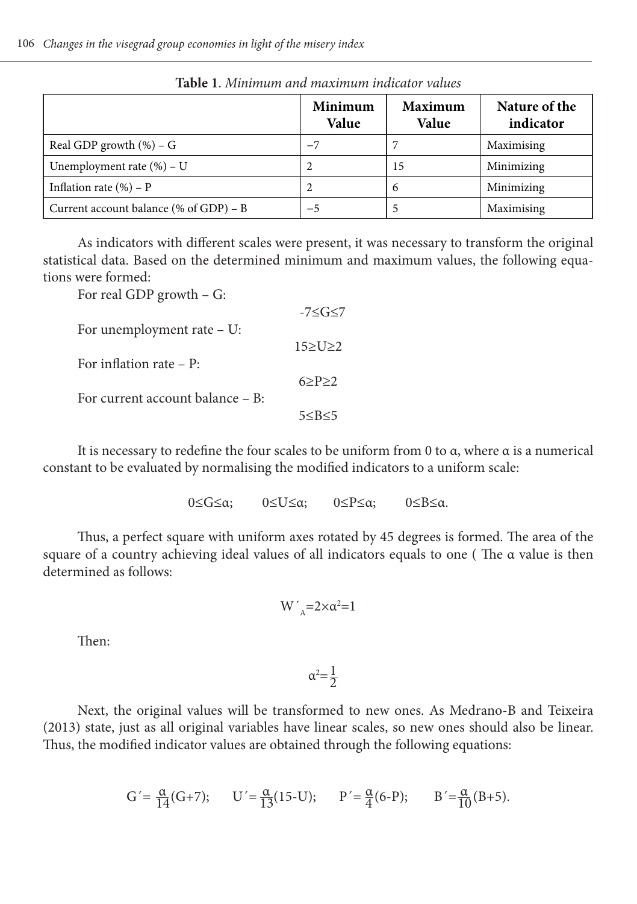|                                        | Minimum<br>Value | Maximum<br>Value | Nature of the<br>indicator |
|----------------------------------------|------------------|------------------|----------------------------|
| Real GDP growth $(\%)$ – G             | $-7$             |                  | Maximising                 |
| Unemployment rate $(\% )$ – U          |                  | 15               | Minimizing                 |
| Inflation rate $(\% )$ – P             |                  | 6                | Minimizing                 |
| Current account balance (% of GDP) – B | $-5$             |                  | Maximising                 |

**Table 1**. *Minimum and maximum indicator values*

As indicators with different scales were present, it was necessary to transform the original statistical data. Based on the determined minimum and maximum values, the following equations were formed:

| For real GDP growth $-$ G:       |                  |
|----------------------------------|------------------|
|                                  | $-7 \le G \le 7$ |
| For unemployment rate $- U$ :    |                  |
| For inflation rate $- P$ :       | $15 \ge U \ge 2$ |
|                                  | $6 \ge P \ge 2$  |
| For current account balance - B: |                  |
|                                  | 5 < B < 5        |

It is necessary to redefine the four scales to be uniform from 0 to α, where α is a numerical constant to be evaluated by normalising the modified indicators to a uniform scale:

0≤G≤α; 0≤U≤α; 0≤P≤α; 0≤B≤α.

Thus, a perfect square with uniform axes rotated by 45 degrees is formed. The area of the square of a country achieving ideal values of all indicators equals to one ( The α value is then determined as follows:

$$
W{'}_A{=}2{\times}\alpha^2{=}1
$$

Then:

 $\alpha^2 = \frac{1}{2}$ 2

Next, the original values will be transformed to new ones. As Medrano-B and Teixeira (2013) state, just as all original variables have linear scales, so new ones should also be linear. Thus, the modified indicator values are obtained through the following equations:

$$
G' = \frac{\alpha}{14}(G+7); \qquad U' = \frac{\alpha}{13}(15-U); \qquad P' = \frac{\alpha}{4}(6-P); \qquad B' = \frac{\alpha}{10}(B+5).
$$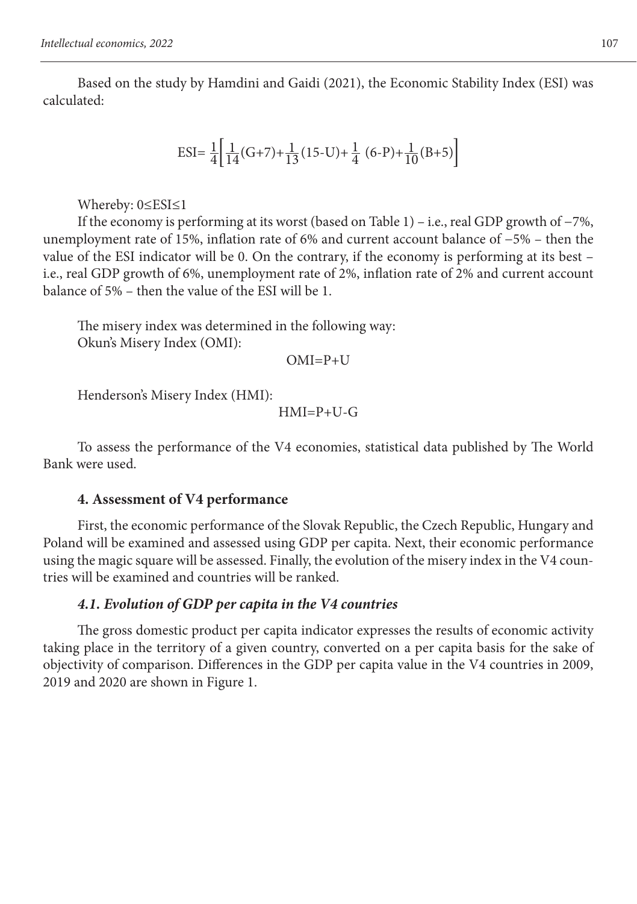Based on the study by Hamdini and Gaidi (2021), the Economic Stability Index (ESI) was calculated:

ESI=  $\frac{1}{4} \left[ \frac{1}{14} (\text{G} + 7) + \frac{1}{13} (15 \text{--} \text{U}) + \frac{1}{4} (6 \text{--} \text{P}) + \frac{1}{10} (B \text{--} \text{F}) \right]$ 

Whereby: 0≤ESI≤1

If the economy is performing at its worst (based on Table 1) – i.e., real GDP growth of −7%, unemployment rate of 15%, inflation rate of 6% and current account balance of −5% – then the value of the ESI indicator will be 0. On the contrary, if the economy is performing at its best – i.e., real GDP growth of 6%, unemployment rate of 2%, inflation rate of 2% and current account balance of 5% – then the value of the ESI will be 1.

The misery index was determined in the following way: Okun's Misery Index (OMI):

 $OMI = P + U$ 

Henderson's Misery Index (HMI):

 $HMI=P+U-G$ 

To assess the performance of the V4 economies, statistical data published by The World Bank were used.

### **4. Assessment of V4 performance**

First, the economic performance of the Slovak Republic, the Czech Republic, Hungary and Poland will be examined and assessed using GDP per capita. Next, their economic performance using the magic square will be assessed. Finally, the evolution of the misery index in the V4 countries will be examined and countries will be ranked.

### *4.1. Evolution of GDP per capita in the V4 countries*

The gross domestic product per capita indicator expresses the results of economic activity taking place in the territory of a given country, converted on a per capita basis for the sake of objectivity of comparison. Differences in the GDP per capita value in the V4 countries in 2009, 2019 and 2020 are shown in Figure 1.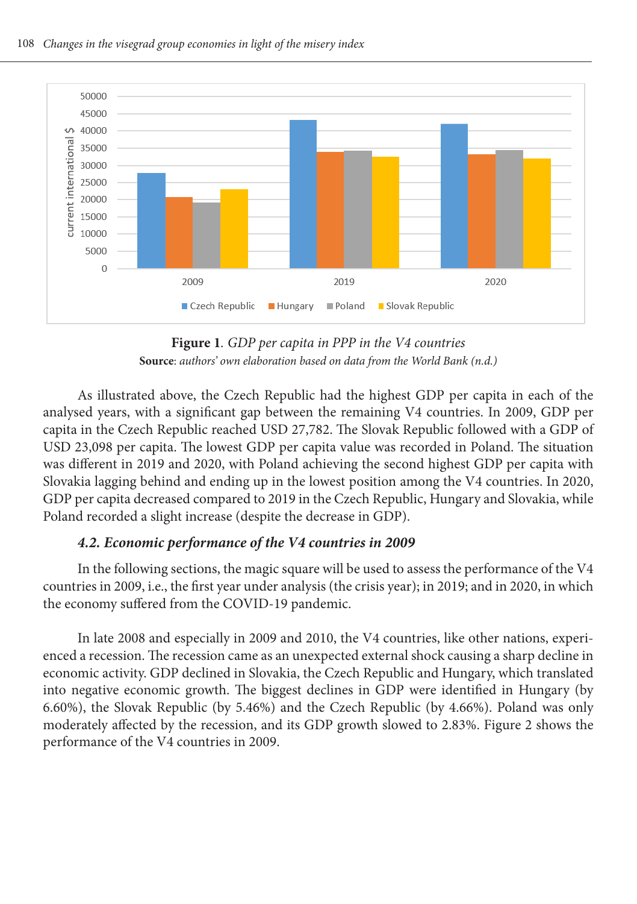

**Figure 1***. GDP per capita in PPP in the V4 countries* **Source**: *authors' own elaboration based on data from the World Bank (n.d.)* 

As illustrated above, the Czech Republic had the highest GDP per capita in each of the analysed years, with a significant gap between the remaining V4 countries. In 2009, GDP per capita in the Czech Republic reached USD 27,782. The Slovak Republic followed with a GDP of USD 23,098 per capita. The lowest GDP per capita value was recorded in Poland. The situation was different in 2019 and 2020, with Poland achieving the second highest GDP per capita with Slovakia lagging behind and ending up in the lowest position among the V4 countries. In 2020, GDP per capita decreased compared to 2019 in the Czech Republic, Hungary and Slovakia, while Poland recorded a slight increase (despite the decrease in GDP).

### *4.2. Economic performance of the V4 countries in 2009*

In the following sections, the magic square will be used to assess the performance of the V4 countries in 2009, i.e., the first year under analysis (the crisis year); in 2019; and in 2020, in which the economy suffered from the COVID-19 pandemic.

In late 2008 and especially in 2009 and 2010, the V4 countries, like other nations, experienced a recession. The recession came as an unexpected external shock causing a sharp decline in economic activity. GDP declined in Slovakia, the Czech Republic and Hungary, which translated into negative economic growth. The biggest declines in GDP were identified in Hungary (by 6.60%), the Slovak Republic (by 5.46%) and the Czech Republic (by 4.66%). Poland was only moderately affected by the recession, and its GDP growth slowed to 2.83%. Figure 2 shows the performance of the V4 countries in 2009.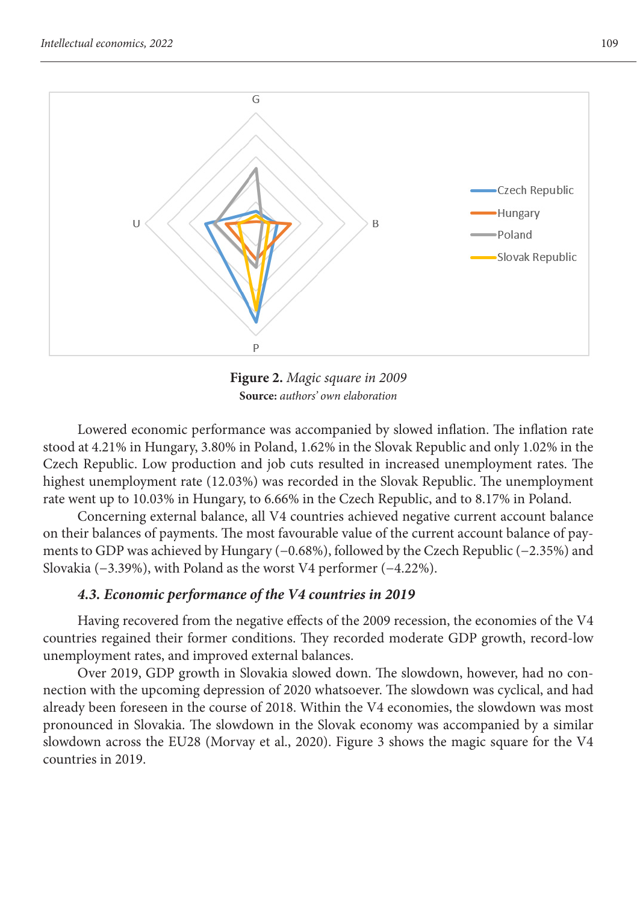

**Figure 2.** *Magic square in 2009* **Source:** *authors' own elaboration*

Lowered economic performance was accompanied by slowed inflation. The inflation rate stood at 4.21% in Hungary, 3.80% in Poland, 1.62% in the Slovak Republic and only 1.02% in the Czech Republic. Low production and job cuts resulted in increased unemployment rates. The highest unemployment rate (12.03%) was recorded in the Slovak Republic. The unemployment rate went up to 10.03% in Hungary, to 6.66% in the Czech Republic, and to 8.17% in Poland.

Concerning external balance, all V4 countries achieved negative current account balance on their balances of payments. The most favourable value of the current account balance of payments to GDP was achieved by Hungary (−0.68%), followed by the Czech Republic (−2.35%) and Slovakia (−3.39%), with Poland as the worst V4 performer (−4.22%).

## *4.3. Economic performance of the V4 countries in 2019*

Having recovered from the negative effects of the 2009 recession, the economies of the V4 countries regained their former conditions. They recorded moderate GDP growth, record-low unemployment rates, and improved external balances.

Over 2019, GDP growth in Slovakia slowed down. The slowdown, however, had no connection with the upcoming depression of 2020 whatsoever. The slowdown was cyclical, and had already been foreseen in the course of 2018. Within the V4 economies, the slowdown was most pronounced in Slovakia. The slowdown in the Slovak economy was accompanied by a similar slowdown across the EU28 (Morvay et al., 2020). Figure 3 shows the magic square for the V4 countries in 2019.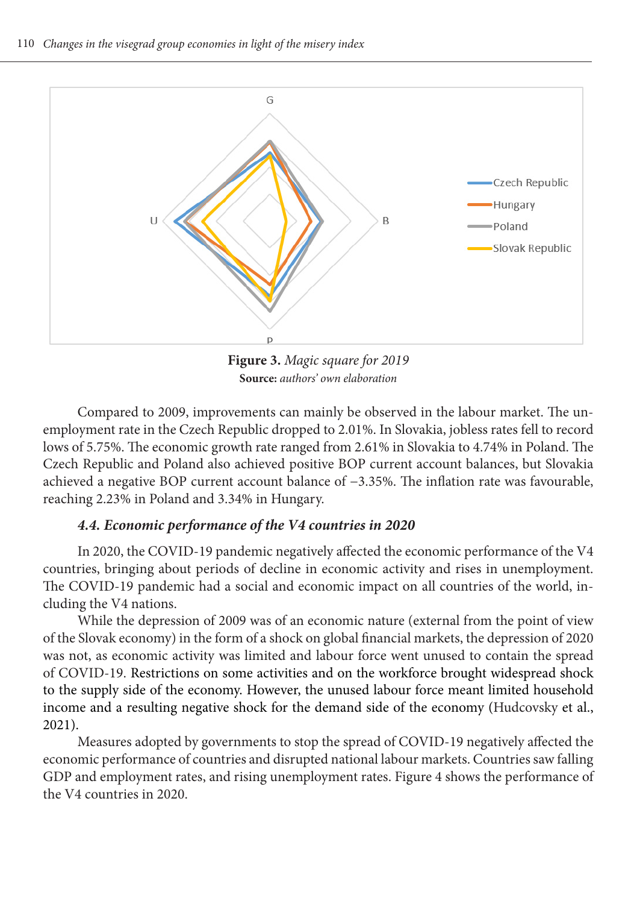

**Figure 3.** *Magic square for 2019* **Source:** *authors' own elaboration*

Compared to 2009, improvements can mainly be observed in the labour market. The unemployment rate in the Czech Republic dropped to 2.01%. In Slovakia, jobless rates fell to record lows of 5.75%. The economic growth rate ranged from 2.61% in Slovakia to 4.74% in Poland. The Czech Republic and Poland also achieved positive BOP current account balances, but Slovakia achieved a negative BOP current account balance of −3.35%. The inflation rate was favourable, reaching 2.23% in Poland and 3.34% in Hungary.

### *4.4. Economic performance of the V4 countries in 2020*

In 2020, the COVID-19 pandemic negatively affected the economic performance of the V4 countries, bringing about periods of decline in economic activity and rises in unemployment. The COVID-19 pandemic had a social and economic impact on all countries of the world, including the V4 nations.

While the depression of 2009 was of an economic nature (external from the point of view of the Slovak economy) in the form of a shock on global financial markets, the depression of 2020 was not, as economic activity was limited and labour force went unused to contain the spread of COVID-19. Restrictions on some activities and on the workforce brought widespread shock to the supply side of the economy. However, the unused labour force meant limited household income and a resulting negative shock for the demand side of the economy (Hudcovsky et al., 2021).

Measures adopted by governments to stop the spread of COVID-19 negatively affected the economic performance of countries and disrupted national labour markets. Countries saw falling GDP and employment rates, and rising unemployment rates. Figure 4 shows the performance of the V4 countries in 2020.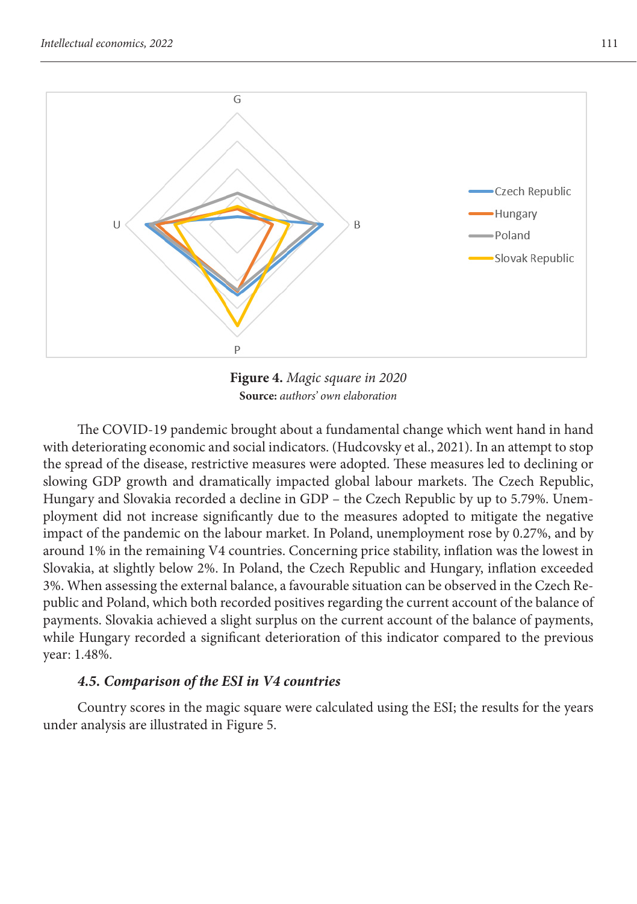

**Figure 4.** *Magic square in 2020* **Source:** *authors' own elaboration*

The COVID-19 pandemic brought about a fundamental change which went hand in hand with deteriorating economic and social indicators. (Hudcovsky et al., 2021). In an attempt to stop the spread of the disease, restrictive measures were adopted. These measures led to declining or slowing GDP growth and dramatically impacted global labour markets. The Czech Republic, Hungary and Slovakia recorded a decline in GDP – the Czech Republic by up to 5.79%. Unemployment did not increase significantly due to the measures adopted to mitigate the negative impact of the pandemic on the labour market. In Poland, unemployment rose by 0.27%, and by around 1% in the remaining V4 countries. Concerning price stability, inflation was the lowest in Slovakia, at slightly below 2%. In Poland, the Czech Republic and Hungary, inflation exceeded 3%. When assessing the external balance, a favourable situation can be observed in the Czech Republic and Poland, which both recorded positives regarding the current account of the balance of payments. Slovakia achieved a slight surplus on the current account of the balance of payments, while Hungary recorded a significant deterioration of this indicator compared to the previous year: 1.48%.

#### *4.5. Comparison of the ESI in V4 countries*

Country scores in the magic square were calculated using the ESI; the results for the years under analysis are illustrated in Figure 5.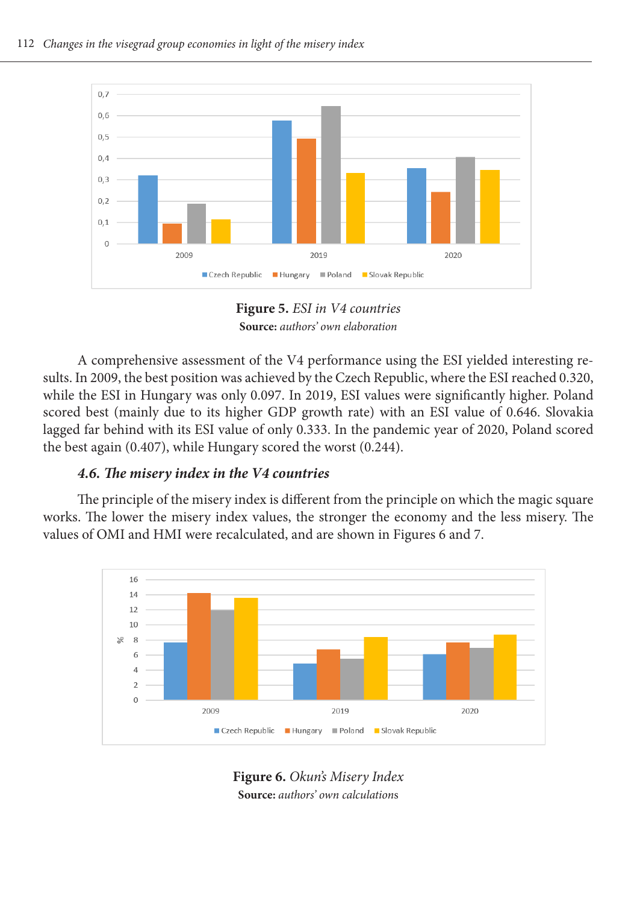

**Figure 5.** *ESI in V4 countries* **Source:** *authors' own elaboration*

A comprehensive assessment of the V4 performance using the ESI yielded interesting results. In 2009, the best position was achieved by the Czech Republic, where the ESI reached 0.320, while the ESI in Hungary was only 0.097. In 2019, ESI values were significantly higher. Poland scored best (mainly due to its higher GDP growth rate) with an ESI value of 0.646. Slovakia lagged far behind with its ESI value of only 0.333. In the pandemic year of 2020, Poland scored the best again (0.407), while Hungary scored the worst (0.244).

## *4.6. The misery index in the V4 countries*

The principle of the misery index is different from the principle on which the magic square works. The lower the misery index values, the stronger the economy and the less misery. The values of OMI and HMI were recalculated, and are shown in Figures 6 and 7.



**Figure 6.** *Okun's Misery Index* **Source:** *authors' own calculation*s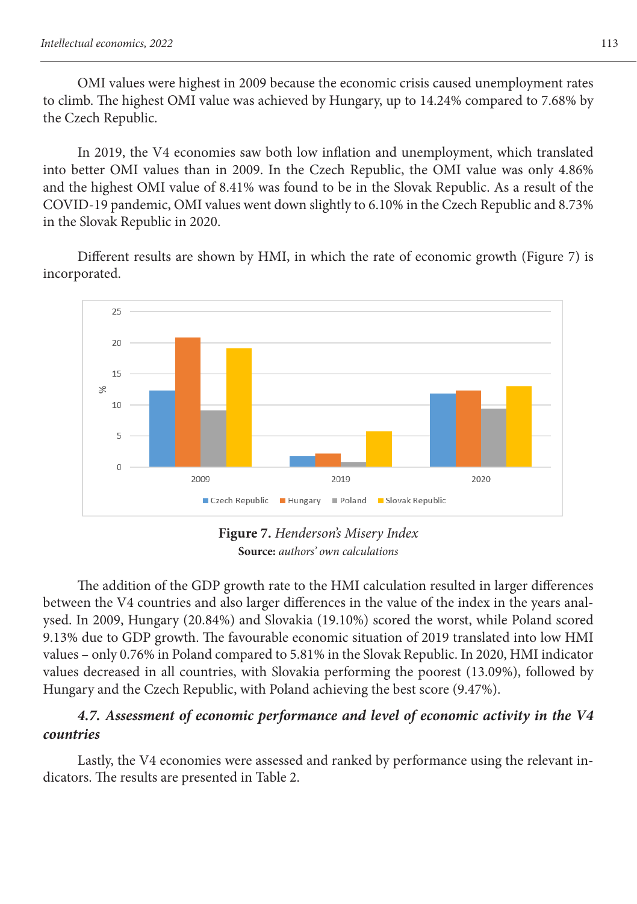OMI values were highest in 2009 because the economic crisis caused unemployment rates to climb. The highest OMI value was achieved by Hungary, up to 14.24% compared to 7.68% by the Czech Republic.

In 2019, the V4 economies saw both low inflation and unemployment, which translated into better OMI values than in 2009. In the Czech Republic, the OMI value was only 4.86% and the highest OMI value of 8.41% was found to be in the Slovak Republic. As a result of the COVID-19 pandemic, OMI values went down slightly to 6.10% in the Czech Republic and 8.73% in the Slovak Republic in 2020.

Different results are shown by HMI, in which the rate of economic growth (Figure 7) is incorporated.



**Figure 7.** *Henderson's Misery Index* **Source:** *authors' own calculations*

The addition of the GDP growth rate to the HMI calculation resulted in larger differences between the V4 countries and also larger differences in the value of the index in the years analysed. In 2009, Hungary (20.84%) and Slovakia (19.10%) scored the worst, while Poland scored 9.13% due to GDP growth. The favourable economic situation of 2019 translated into low HMI values – only 0.76% in Poland compared to 5.81% in the Slovak Republic. In 2020, HMI indicator values decreased in all countries, with Slovakia performing the poorest (13.09%), followed by Hungary and the Czech Republic, with Poland achieving the best score (9.47%).

## *4.7. Assessment of economic performance and level of economic activity in the V4 countries*

Lastly, the V4 economies were assessed and ranked by performance using the relevant indicators. The results are presented in Table 2.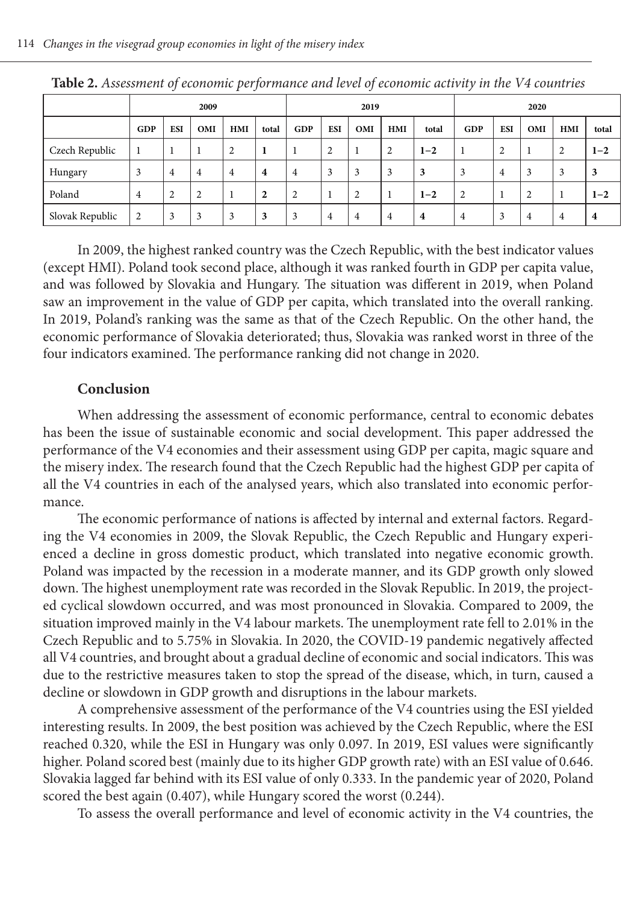|                 |                | ັ              |                | $\overline{ }$ | $\tilde{\phantom{a}}$ |                |            | $\checkmark$   |                |                         |                |                |     |     |         |
|-----------------|----------------|----------------|----------------|----------------|-----------------------|----------------|------------|----------------|----------------|-------------------------|----------------|----------------|-----|-----|---------|
|                 | 2009           |                |                |                |                       | 2019           |            |                |                | 2020                    |                |                |     |     |         |
|                 | GDP            | <b>ESI</b>     | OMI            | HMI            | total                 | GDP            | <b>ESI</b> | OMI            | HMI            | total                   | GDP            | <b>ESI</b>     | OMI | HMI | total   |
| Czech Republic  | 1              |                |                | $\overline{2}$ | -1                    |                | 2          |                | $\overline{c}$ | $1 - 2$                 | -1             | 2              |     | 2   | $1 - 2$ |
| Hungary         | 3              | $\overline{4}$ | 4              | $\overline{4}$ | $\overline{4}$        | $\overline{4}$ | 3          | 3              | 3              | 3                       | 3              | $\overline{4}$ | 3   | 3   | 3       |
| Poland          | $\overline{4}$ | 2              | $\overline{2}$ | 1              | $\overline{2}$        | $\overline{2}$ |            | $\overline{2}$ |                | $1 - 2$                 | $\overline{2}$ |                | ↑   |     | $1 - 2$ |
| Slovak Republic | $\overline{2}$ | 3              | 3              | 3              | 3                     | 3              | 4          | 4              | 4              | $\overline{\mathbf{4}}$ | $\overline{4}$ | 3              | 4   | 4   | 4       |

**Table 2.** *Assessment of economic performance and level of economic activity in the V4 countries*

In 2009, the highest ranked country was the Czech Republic, with the best indicator values (except HMI). Poland took second place, although it was ranked fourth in GDP per capita value, and was followed by Slovakia and Hungary. The situation was different in 2019, when Poland saw an improvement in the value of GDP per capita, which translated into the overall ranking. In 2019, Poland's ranking was the same as that of the Czech Republic. On the other hand, the economic performance of Slovakia deteriorated; thus, Slovakia was ranked worst in three of the four indicators examined. The performance ranking did not change in 2020.

#### **Conclusion**

When addressing the assessment of economic performance, central to economic debates has been the issue of sustainable economic and social development. This paper addressed the performance of the V4 economies and their assessment using GDP per capita, magic square and the misery index. The research found that the Czech Republic had the highest GDP per capita of all the V4 countries in each of the analysed years, which also translated into economic performance.

The economic performance of nations is affected by internal and external factors. Regarding the V4 economies in 2009, the Slovak Republic, the Czech Republic and Hungary experienced a decline in gross domestic product, which translated into negative economic growth. Poland was impacted by the recession in a moderate manner, and its GDP growth only slowed down. The highest unemployment rate was recorded in the Slovak Republic. In 2019, the projected cyclical slowdown occurred, and was most pronounced in Slovakia. Compared to 2009, the situation improved mainly in the V4 labour markets. The unemployment rate fell to 2.01% in the Czech Republic and to 5.75% in Slovakia. In 2020, the COVID-19 pandemic negatively affected all V4 countries, and brought about a gradual decline of economic and social indicators. This was due to the restrictive measures taken to stop the spread of the disease, which, in turn, caused a decline or slowdown in GDP growth and disruptions in the labour markets.

A comprehensive assessment of the performance of the V4 countries using the ESI yielded interesting results. In 2009, the best position was achieved by the Czech Republic, where the ESI reached 0.320, while the ESI in Hungary was only 0.097. In 2019, ESI values were significantly higher. Poland scored best (mainly due to its higher GDP growth rate) with an ESI value of 0.646. Slovakia lagged far behind with its ESI value of only 0.333. In the pandemic year of 2020, Poland scored the best again (0.407), while Hungary scored the worst (0.244).

To assess the overall performance and level of economic activity in the V4 countries, the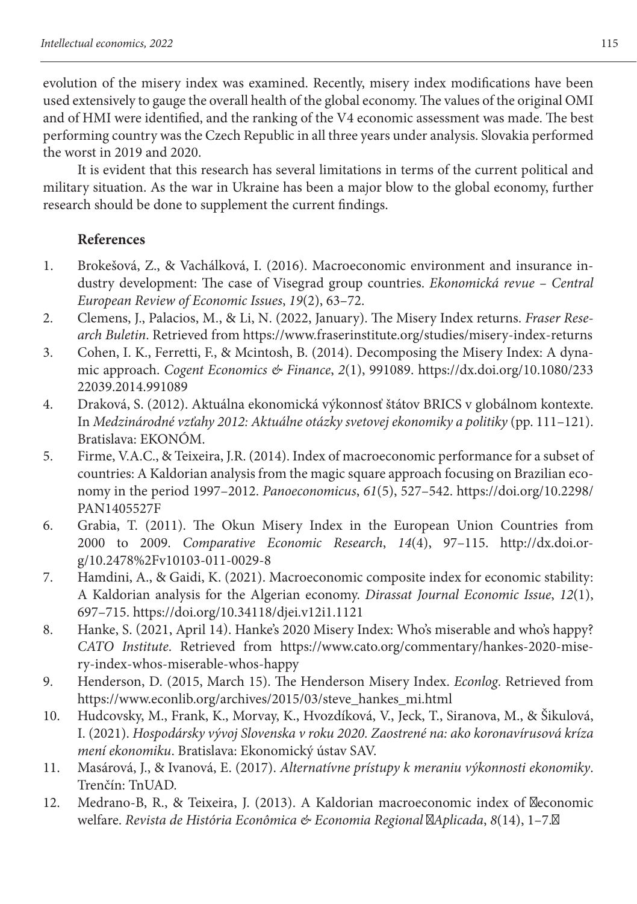evolution of the misery index was examined. Recently, misery index modifications have been used extensively to gauge the overall health of the global economy. The values of the original OMI and of HMI were identified, and the ranking of the V4 economic assessment was made. The best performing country was the Czech Republic in all three years under analysis. Slovakia performed the worst in 2019 and 2020.

It is evident that this research has several limitations in terms of the current political and military situation. As the war in Ukraine has been a major blow to the global economy, further research should be done to supplement the current findings.

## **References**

- 1. Brokešová, Z., & Vachálková, I. (2016). Macroeconomic environment and insurance industry development: The case of Visegrad group countries. *Ekonomická revue – Central European Review of Economic Issues*, *19*(2), 63–72.
- 2. Clemens, J., Palacios, M., & Li, N. (2022, January). The Misery Index returns. *Fraser Research Buletin*. Retrieved from https://www.fraserinstitute.org/studies/misery-index-returns
- 3. Cohen, I. K., Ferretti, F., & Mcintosh, B. (2014). Decomposing the Misery Index: A dynamic approach. *Cogent Economics & Finance*, *2*(1), 991089. https://dx.doi.org/10.1080/233 22039.2014.991089
- 4. Draková, S. (2012). Aktuálna ekonomická výkonnosť štátov BRICS v globálnom kontexte. In *Medzinárodné vzťahy 2012: Aktuálne otázky svetovej ekonomiky a politiky* (pp. 111–121). Bratislava: EKONÓM.
- 5. Firme, V.A.C., & Teixeira, J.R. (2014). Index of macroeconomic performance for a subset of countries: A Kaldorian analysis from the magic square approach focusing on Brazilian economy in the period 1997–2012. *Panoeconomicus*, *61*(5), 527–542. https://doi.org/10.2298/ PAN1405527F
- 6. Grabia, T. (2011). The Okun Misery Index in the European Union Countries from 2000 to 2009. *Comparative Economic Research*, *14*(4), 97–115. http://dx.doi.org/10.2478%2Fv10103-011-0029-8
- 7. Hamdini, A., & Gaidi, K. (2021). Macroeconomic composite index for economic stability: A Kaldorian analysis for the Algerian economy. *Dirassat Journal Economic Issue*, *12*(1), 697–715. https://doi.org/10.34118/djei.v12i1.1121
- 8. Hanke, S. (2021, April 14). Hanke's 2020 Misery Index: Who's miserable and who's happy? *CATO Institute*. Retrieved from https://www.cato.org/commentary/hankes-2020-misery-index-whos-miserable-whos-happy
- 9. Henderson, D. (2015, March 15). The Henderson Misery Index. *Econlog*. Retrieved from https://www.econlib.org/archives/2015/03/steve\_hankes\_mi.html
- 10. Hudcovsky, M., Frank, K., Morvay, K., Hvozdíková, V., Jeck, T., Siranova, M., & Šikulová, I. (2021). *Hospodársky vývoj Slovenska v roku 2020. Zaostrené na: ako koronavírusová kríza mení ekonomiku*. Bratislava: Ekonomický ústav SAV.
- 11. Masárová, J., & Ivanová, E. (2017). *Alternatívne prístupy k meraniu výkonnosti ekonomiky*. Trenčín: TnUAD.
- 12. Medrano-B, R., & Teixeira, J. (2013). A Kaldorian macroeconomic index of economic welfare. *Revista de História Econômica & Economia Regional Aplicada*, *8*(14), 1–7.